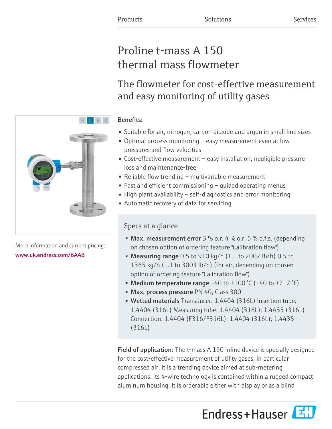# Proline t-mass A 150 thermal mass flowmeter

The flowmeter for cost-effective measurement and easy monitoring of utility gases

# Benefits:

- Suitable for air, nitrogen, carbon dioxide and argon in small line sizes
- Optimal process monitoring easy measurement even at low pressures and flow velocities
- Cost-effective measurement easy installation, negligible pressure loss and maintenance-free
- Reliable flow trending multivariable measurement
- Fast and efficient commissioning guided operating menus
- High plant availability self-diagnostics and error monitoring
- Automatic recovery of data for servicing

# Specs at a glance

- Max. measurement error  $3\%$  o.r.  $4\%$  o.r.  $5\%$  o.f.s. (depending on chosen option of ordering feature "Calibration flow")
- Measuring range 0.5 to 910 kg/h (1.1 to 2002 lb/h) 0.5 to 1365 kg/h (1.1 to 3003 lb/h) (for air, depending on chosen option of ordering feature "Calibration flow")
- Medium temperature range  $-40$  to  $+100$  °C ( $-40$  to  $+212$  °F)
- Max. process pressure PN 40, Class 300
- Wetted materials Transducer: 1.4404 (316L) Insertion tube: 1.4404 (316L) Measuring tube: 1.4404 (316L); 1.4435 (316L) Connection: 1.4404 (F316/F316L); 1.4404 (316L); 1.4435 (316L)

**Field of application:** The t-mass A 150 inline device is specially designed for the cost-effective measurement of utility gases, in particular compressed air. It is a trending device aimed at sub-metering applications. its 4-wire technology is contained within a rugged compact aluminum housing. It is orderable either with display or as a blind





More information and current pricing: [www.uk.endress.com/6AAB](https://www.uk.endress.com/6AAB)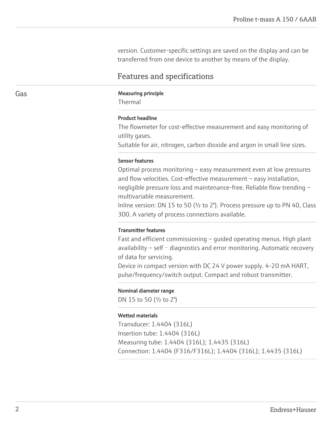version. Customer-specific settings are saved on the display and can be transferred from one device to another by means of the display.

# Features and specifications

#### Gas **Gas** Measuring principle

Thermal

#### Product headline

The flowmeter for cost-effective measurement and easy monitoring of utility gases.

Suitable for air, nitrogen, carbon dioxide and argon in small line sizes.

#### Sensor features

Optimal process monitoring – easy measurement even at low pressures and flow velocities. Cost-effective measurement – easy installation, negligible pressure loss and maintenance-free. Reliable flow trending – multivariable measurement.

Inline version: DN 15 to 50 (½ to 2"). Process pressure up to PN 40, Class 300. A variety of process connections available.

#### Transmitter features

Fast and efficient commissioning – guided operating menus. High plant availability – self - diagnostics and error monitoring. Automatic recovery of data for servicing.

Device in compact version with DC 24 V power supply. 4-20 mA HART, pulse/frequency/switch output. Compact and robust transmitter.

#### Nominal diameter range

DN 15 to 50 (½ to 2")

#### Wetted materials

Transducer: 1.4404 (316L) Insertion tube: 1.4404 (316L) Measuring tube: 1.4404 (316L); 1.4435 (316L) Connection: 1.4404 (F316/F316L); 1.4404 (316L); 1.4435 (316L)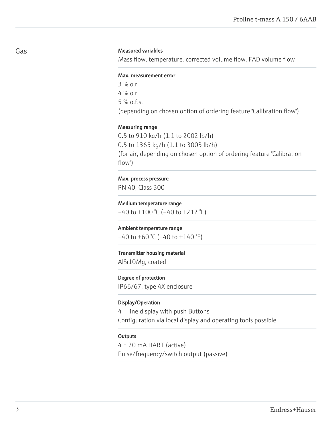## Gas

#### Measured variables

Mass flow, temperature, corrected volume flow, FAD volume flow

#### Max. measurement error

 $3\%$  0.1 4 %  $0.0$ 5 % o.f.s. (depending on chosen option of ordering feature "Calibration flow")

#### Measuring range

0.5 to 910 kg/h (1.1 to 2002 lb/h) 0.5 to 1365 kg/h (1.1 to 3003 lb/h) (for air, depending on chosen option of ordering feature "Calibration flow")

#### Max. process pressure

PN 40, Class 300

#### Medium temperature range

 $-40$  to  $+100$  °C ( $-40$  to  $+212$  °F)

#### Ambient temperature range

 $-40$  to  $+60$  °C ( $-40$  to  $+140$  °F)

## Transmitter housing material

AlSi10Mg, coated

#### Degree of protection

IP66/67, type 4X enclosure

#### Display/Operation

4 - line display with push Buttons Configuration via local display and operating tools possible

#### **Outputs**

4‐20 mA HART (active) Pulse/frequency/switch output (passive)